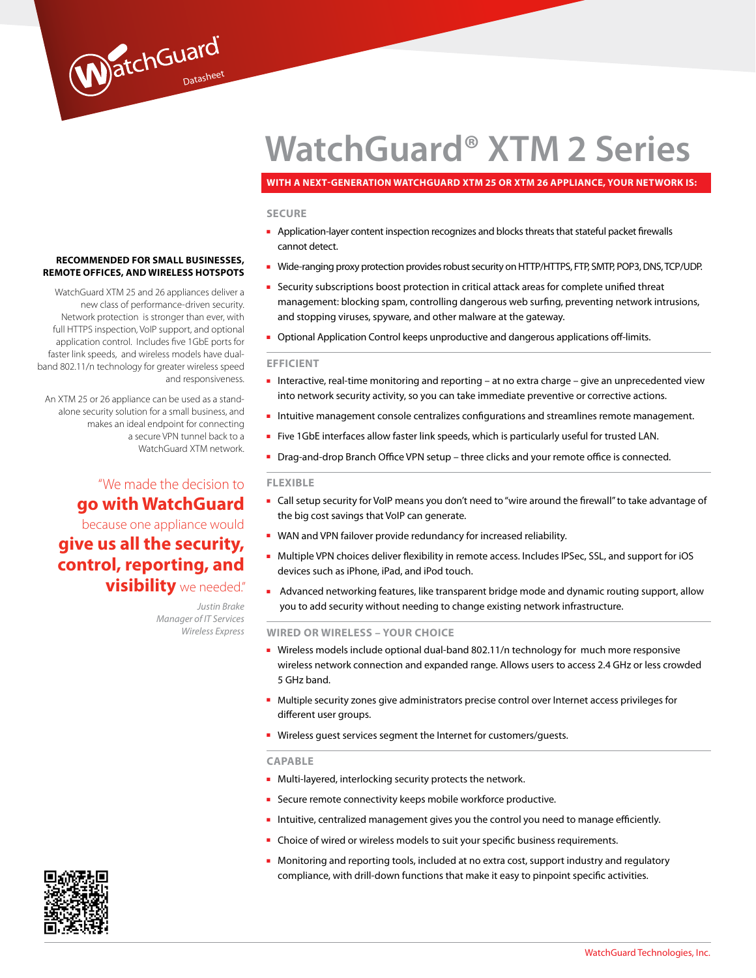# **WatchGuard® XTM 2 Series**

#### **With a Next-Generation WatchGuard XTM 25 or XTm 26 appliance, your network is:**

#### **SECURE**

- Application-layer content inspection recognizes and blocks threats that stateful packet firewalls cannot detect.
- Wide-ranging proxy protection provides robust security on HTTP/HTTPS, FTP, SMTP, POP3, DNS, TCP/UDP.
- Security subscriptions boost protection in critical attack areas for complete unified threat management: blocking spam, controlling dangerous web surfing, preventing network intrusions, and stopping viruses, spyware, and other malware at the gateway.
- Optional Application Control keeps unproductive and dangerous applications off-limits.

#### **EFFICIENT**

- Interactive, real-time monitoring and reporting at no extra charge give an unprecedented view into network security activity, so you can take immediate preventive or corrective actions.
- Intuitive management console centralizes configurations and streamlines remote management.
- Five 1GbE interfaces allow faster link speeds, which is particularly useful for trusted LAN.
- Drag-and-drop Branch Office VPN setup three clicks and your remote office is connected.

#### **FLEXIBLE**

- Call setup security for VoIP means you don't need to "wire around the firewall" to take advantage of the big cost savings that VoIP can generate.
- WAN and VPN failover provide redundancy for increased reliability.
- Multiple VPN choices deliver flexibility in remote access. Includes IPSec, SSL, and support for iOS devices such as iPhone, iPad, and iPod touch.
- Advanced networking features, like transparent bridge mode and dynamic routing support, allow you to add security without needing to change existing network infrastructure.

#### **WIRED OR WIRELESS – YOUR CHOICE**

- Wireless models include optional dual-band 802.11/n technology for much more responsive wireless network connection and expanded range. Allows users to access 2.4 GHz or less crowded 5 GHz band.
- Multiple security zones give administrators precise control over Internet access privileges for different user groups.
- Wireless quest services segment the Internet for customers/quests.

#### **CAPABLE**

- Multi-layered, interlocking security protects the network.
- Secure remote connectivity keeps mobile workforce productive.
- Intuitive, centralized management gives you the control you need to manage efficiently.
- Choice of wired or wireless models to suit your specific business requirements.
- Monitoring and reporting tools, included at no extra cost, support industry and regulatory compliance, with drill-down functions that make it easy to pinpoint specific activities.

#### **Recommended for small businesses, remote offices, and wireless hotspots**

WatchGuard

WatchGuard XTM 25 and 26 appliances deliver a new class of performance-driven security. Network protection is stronger than ever, with full HTTPS inspection, VoIP support, and optional application control. Includes five 1GbE ports for faster link speeds, and wireless models have dualband 802.11/n technology for greater wireless speed and responsiveness.

An XTM 25 or 26 appliance can be used as a standalone security solution for a small business, and makes an ideal endpoint for connecting a secure VPN tunnel back to a WatchGuard XTM network.

## "We made the decision to **go with WatchGuard** because one appliance would **give us all the security,**

# **control, reporting, and visibility** we needed."

*Justin Brake Manager of IT Services Wireless Express*